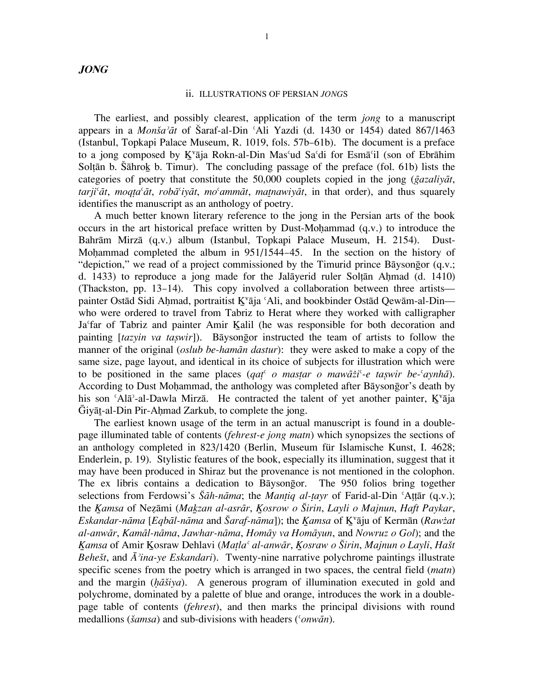## ii. ILLUSTRATIONS OF PERSIAN *JONG*S

The earliest, and possibly clearest, application of the term *jong* to a manuscript appears in a *Monša*<sup>2</sup> $\bar{a}t$  of Šaraf-al-Din  $\Delta$ <sup>r</sup>Ali Yazdi (d. 1430 or 1454) dated 867/1463 (Istanbul, Topkapi Palace Museum, R. 1019, fols. 57b–61b). The document is a preface to a jong composed by K<sup>v</sup>āja Rokn-al-Din Mas<sup>*'ud Sa'di for Esmā'il* (son of Ebrāhim</sup> Soltān b. Šāhrok b. Timur). The concluding passage of the preface (fol. 61b) lists the categories of poetry that constitute the 50,000 couplets copied in the jong (*gazaliyat*, *tarji<sup>c</sup>at*, *moqta<sup>c</sup>at*, *roba<sup>c</sup>iyat*, *mo<sup>c</sup>ammat*, *matnawiyat*, in that order), and thus squarely identifies the manuscript as an anthology of poetry.

A much better known literary reference to the jong in the Persian arts of the book occurs in the art historical preface written by Dust-Mohammad  $(q.v.)$  to introduce the Bahrām Mirzā (q.v.) album (Istanbul, Topkapi Palace Museum, H. 2154). Dust-Mohammad completed the album in 951/1544–45. In the section on the history of "depiction," we read of a project commissioned by the Timurid prince Baysongor (q.v.; d. 1433) to reproduce a jong made for the Jal $\bar{a}$ yerid ruler Solt $\bar{a}$ n Ahmad (d. 1410) (Thackston, pp. 13–14). This copy involved a collaboration between three artists painter Ostād Sidi Ahmad, portraitist K<sup>v</sup>āja ʿAli, and bookbinder Ostād Qewām-al-Din who were ordered to travel from Tabriz to Herat where they worked with calligrapher Ja'far of Tabriz and painter Amir Kalil (he was responsible for both decoration and painting [*tazyin va taswir*]). Baysongor instructed the team of artists to follow the manner of the original (*oslub be-hamān dastur*): they were asked to make a copy of the same size, page layout, and identical in its choice of subjects for illustration which were to be positioned in the same places (*qat<sup><sup><i>ζ</sup>*</sup> *o* mastar *o* maw $\bar{a}z\bar{i}$ <sup> $\bar{c}$ </sup> *e taswir be*<sup>*⊆*</sup>*aynh* $\bar{a}$ ).</sup> According to Dust Mohammad, the anthology was completed after Bāysongor's death by his son 'Alā°-al-Dawla Mirza. He contracted the talent of yet another painter, K<sup>v</sup>āja  $\overline{G}$ iyāt-al-Din Pir-Ahmad Zarkub, to complete the jong.

The earliest known usage of the term in an actual manuscript is found in a doublepage illuminated table of contents (*fehrest-e jong matn*) which synopsizes the sections of an anthology completed in 823/1420 (Berlin, Museum für Islamische Kunst, I. 4628; Enderlein, p. 19). Stylistic features of the book, especially its illumination, suggest that it may have been produced in Shiraz but the provenance is not mentioned in the colophon. The ex libris contains a dedication to Baysongor. The 950 folios bring together selections from Ferdowsi's *Šāh-nāma*; the *Mantiq al-tayr* of Farid-al-Din ʿAttār (q.v.); the *K˚amsa* of Nez≥˝mi (*Mak˚zan al-asr˝r*, *K˚osrow o ∏irin*, *Layli o Majnun*, *Haft Paykar*, *Eskandar-nāma* [*Eqbāl-nāma* and Šaraf-nāma]); the *Kamsa* of K<sup>v</sup>āju of Kermān (*Rawżat al-anw˝r*, *Kam˝l-n˝ma*, *Jawhar-n˝ma*, *Hom˝y va Hom˝yun*, and *Nowruz o Gol*); and the *Kamsa* of Amir Kosraw Dehlavi (*Matla<sup>c</sup> al-anwār, Kosraw o Širin, Majnun o Layli, Hašt Behešt*, and  $\bar{A}$ <sup>2</sup>*ina-ye Eskandari*). Twenty-nine narrative polychrome paintings illustrate specific scenes from the poetry which is arranged in two spaces, the central field (*matn*) and the margin (*h* $\overline{a}$ *šiya*). A generous program of illumination executed in gold and polychrome, dominated by a palette of blue and orange, introduces the work in a doublepage table of contents (*fehrest*), and then marks the principal divisions with round medallions (*šamsa*) and sub-divisions with headers ('*onwān*).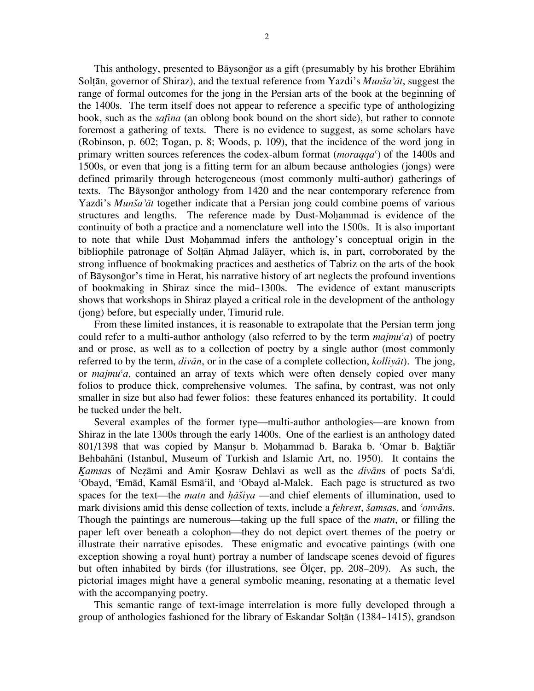This anthology, presented to Baysongor as a gift (presumably by his brother Ebrahim Soltān, governor of Shiraz), and the textual reference from Yazdi's *Munša<sup>-</sup>āt*, suggest the range of formal outcomes for the jong in the Persian arts of the book at the beginning of the 1400s. The term itself does not appear to reference a specific type of anthologizing book, such as the *safina* (an oblong book bound on the short side), but rather to connote foremost a gathering of texts. There is no evidence to suggest, as some scholars have (Robinson, p. 602; Togan, p. 8; Woods, p. 109), that the incidence of the word jong in primary written sources references the codex-album format (*moraqqa*¿) of the 1400s and 1500s, or even that jong is a fitting term for an album because anthologies (jongs) were defined primarily through heterogeneous (most commonly multi-author) gatherings of texts. The B˝yson@gor anthology from 1420 and the near contemporary reference from Yazdi's *Munša<sup>-</sup>āt* together indicate that a Persian jong could combine poems of various structures and lengths. The reference made by Dust-Mohammad is evidence of the continuity of both a practice and a nomenclature well into the 1500s. It is also important to note that while Dust Mohammad infers the anthology's conceptual origin in the bibliophile patronage of Soltān Ahmad Jalāyer, which is, in part, corroborated by the strong influence of bookmaking practices and aesthetics of Tabriz on the arts of the book of Bāysongor's time in Herat, his narrative history of art neglects the profound inventions of bookmaking in Shiraz since the mid–1300s. The evidence of extant manuscripts shows that workshops in Shiraz played a critical role in the development of the anthology (jong) before, but especially under, Timurid rule.

From these limited instances, it is reasonable to extrapolate that the Persian term jong could refer to a multi-author anthology (also referred to by the term  $\textit{mainu}^{\epsilon}a$ ) of poetry and or prose, as well as to a collection of poetry by a single author (most commonly referred to by the term, *divān*, or in the case of a complete collection, *kollivāt*). The jong, or *majmu'a*, contained an array of texts which were often densely copied over many folios to produce thick, comprehensive volumes. The safina, by contrast, was not only smaller in size but also had fewer folios: these features enhanced its portability. It could be tucked under the belt.

Several examples of the former type—multi-author anthologies—are known from Shiraz in the late 1300s through the early 1400s. One of the earliest is an anthology dated 801/1398 that was copied by Mansur b. Mohammad b. Baraka b. 'Omar b. Baktiār Behbahāni (Istanbul, Museum of Turkish and Islamic Art, no. 1950). It contains the *Kamsas* of Nezāmi and Amir Kosraw Dehlavi as well as the *divāns* of poets Sa<sup>*c*</sup>di, ¿Obayd, ¿Em˝d, Kam˝l Esm˝¿il, and ¿Obayd al-Malek. Each page is structured as two spaces for the text—the *matn* and *h* $\overline{a}$ *šiya* —and chief elements of illumination, used to mark divisions amid this dense collection of texts, include a *fehrest*, *šamsas*, and *<sup><i>onvans*.</sup> Though the paintings are numerous—taking up the full space of the *matn*, or filling the paper left over beneath a colophon—they do not depict overt themes of the poetry or illustrate their narrative episodes. These enigmatic and evocative paintings (with one exception showing a royal hunt) portray a number of landscape scenes devoid of figures but often inhabited by birds (for illustrations, see Ölçer, pp. 208–209). As such, the pictorial images might have a general symbolic meaning, resonating at a thematic level with the accompanying poetry.

This semantic range of text-image interrelation is more fully developed through a group of anthologies fashioned for the library of Eskandar Soltān (1384–1415), grandson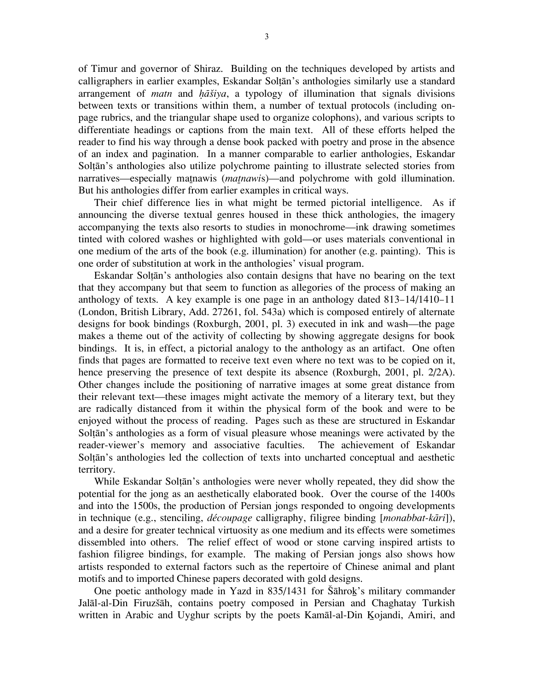of Timur and governor of Shiraz. Building on the techniques developed by artists and calligraphers in earlier examples, Eskandar Soltān's anthologies similarly use a standard arrangement of *matn* and *h* $\overline{a}$ *šiya*, a typology of illumination that signals divisions between texts or transitions within them, a number of textual protocols (including onpage rubrics, and the triangular shape used to organize colophons), and various scripts to differentiate headings or captions from the main text. All of these efforts helped the reader to find his way through a dense book packed with poetry and prose in the absence of an index and pagination. In a manner comparable to earlier anthologies, Eskandar Soltān's anthologies also utilize polychrome painting to illustrate selected stories from narratives—especially matnawis (*matnawis*)—and polychrome with gold illumination. But his anthologies differ from earlier examples in critical ways.

Their chief difference lies in what might be termed pictorial intelligence. As if announcing the diverse textual genres housed in these thick anthologies, the imagery accompanying the texts also resorts to studies in monochrome—ink drawing sometimes tinted with colored washes or highlighted with gold—or uses materials conventional in one medium of the arts of the book (e.g. illumination) for another (e.g. painting). This is one order of substitution at work in the anthologies' visual program.

Eskandar Soltān's anthologies also contain designs that have no bearing on the text that they accompany but that seem to function as allegories of the process of making an anthology of texts. A key example is one page in an anthology dated 813–14/1410–11 (London, British Library, Add. 27261, fol. 543a) which is composed entirely of alternate designs for book bindings (Roxburgh, 2001, pl. 3) executed in ink and wash—the page makes a theme out of the activity of collecting by showing aggregate designs for book bindings. It is, in effect, a pictorial analogy to the anthology as an artifact. One often finds that pages are formatted to receive text even where no text was to be copied on it, hence preserving the presence of text despite its absence (Roxburgh, 2001, pl. 2/2A). Other changes include the positioning of narrative images at some great distance from their relevant text—these images might activate the memory of a literary text, but they are radically distanced from it within the physical form of the book and were to be enjoyed without the process of reading. Pages such as these are structured in Eskandar Soltān's anthologies as a form of visual pleasure whose meanings were activated by the reader-viewer's memory and associative faculties. The achievement of Eskandar Soltān's anthologies led the collection of texts into uncharted conceptual and aesthetic territory.

While Eskandar Soltān's anthologies were never wholly repeated, they did show the potential for the jong as an aesthetically elaborated book. Over the course of the 1400s and into the 1500s, the production of Persian jongs responded to ongoing developments in technique (e.g., stenciling, *découpage* calligraphy, filigree binding [*monabbat-kāri*]), and a desire for greater technical virtuosity as one medium and its effects were sometimes dissembled into others. The relief effect of wood or stone carving inspired artists to fashion filigree bindings, for example. The making of Persian jongs also shows how artists responded to external factors such as the repertoire of Chinese animal and plant motifs and to imported Chinese papers decorated with gold designs.

One poetic anthology made in Yazd in 835/1431 for Šāhrok's military commander Jalāl-al-Din Firuzšāh, contains poetry composed in Persian and Chaghatay Turkish written in Arabic and Uyghur scripts by the poets Kamāl-al-Din Kojandi, Amiri, and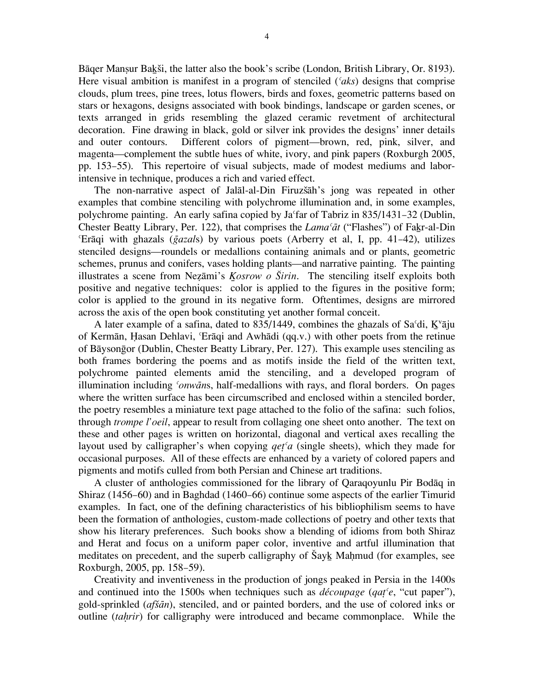Bāger Mansur Bakši, the latter also the book's scribe (London, British Library, Or. 8193). Here visual ambition is manifest in a program of stenciled (*¿aks*) designs that comprise clouds, plum trees, pine trees, lotus flowers, birds and foxes, geometric patterns based on stars or hexagons, designs associated with book bindings, landscape or garden scenes, or texts arranged in grids resembling the glazed ceramic revetment of architectural decoration. Fine drawing in black, gold or silver ink provides the designs' inner details and outer contours. Different colors of pigment—brown, red, pink, silver, and magenta—complement the subtle hues of white, ivory, and pink papers (Roxburgh 2005, pp. 153–55). This repertoire of visual subjects, made of modest mediums and laborintensive in technique, produces a rich and varied effect.

The non-narrative aspect of Jalāl-al-Din Firuzšāh's jong was repeated in other examples that combine stenciling with polychrome illumination and, in some examples, polychrome painting. An early safina copied by Ja far of Tabriz in 835/1431–32 (Dublin, Chester Beatty Library, Per. 122), that comprises the *Lama<sup>c</sup>at* ("Flashes") of Fakr-al-Din  $E_{\text{B}}$  with ghazals (*gazals*) by various poets (Arberry et al, I, pp. 41–42), utilizes stenciled designs—roundels or medallions containing animals and or plants, geometric schemes, prunus and conifers, vases holding plants—and narrative painting. The painting illustrates a scene from Nezāmi's *Kosrow o Širin*. The stenciling itself exploits both positive and negative techniques: color is applied to the figures in the positive form; color is applied to the ground in its negative form. Oftentimes, designs are mirrored across the axis of the open book constituting yet another formal conceit.

A later example of a safina, dated to 835/1449, combines the ghazals of Sa $\delta$ di, K $\delta$ <sup>†</sup> $\delta$ <sub>i</sub> of Kermān, Hasan Dehlavi, <sup>c</sup>Erāqi and Awhādi (qq.v.) with other poets from the retinue of Bāysongor (Dublin, Chester Beatty Library, Per. 127). This example uses stenciling as both frames bordering the poems and as motifs inside the field of the written text, polychrome painted elements amid the stenciling, and a developed program of illumination including *<sup><i>onwāns*, half-medallions with rays, and floral borders. On pages</sup> where the written surface has been circumscribed and enclosed within a stenciled border, the poetry resembles a miniature text page attached to the folio of the safina: such folios, through *trompe l'oeil*, appear to result from collaging one sheet onto another. The text on these and other pages is written on horizontal, diagonal and vertical axes recalling the layout used by calligrapher's when copying *qet≤¿a* (single sheets), which they made for occasional purposes. All of these effects are enhanced by a variety of colored papers and pigments and motifs culled from both Persian and Chinese art traditions.

A cluster of anthologies commissioned for the library of Qaraqoyunlu Pir Bodaq in Shiraz (1456–60) and in Baghdad (1460–66) continue some aspects of the earlier Timurid examples. In fact, one of the defining characteristics of his bibliophilism seems to have been the formation of anthologies, custom-made collections of poetry and other texts that show his literary preferences. Such books show a blending of idioms from both Shiraz and Herat and focus on a uniform paper color, inventive and artful illumination that meditates on precedent, and the superb calligraphy of Šayk Mahmud (for examples, see Roxburgh, 2005, pp. 158–59).

Creativity and inventiveness in the production of jongs peaked in Persia in the 1400s and continued into the 1500s when techniques such as *découpage* (*qat≤¿e*, "cut paper"), gold-sprinkled (*afšān*), stenciled, and or painted borders, and the use of colored inks or outline (*tah≥rir*) for calligraphy were introduced and became commonplace. While the